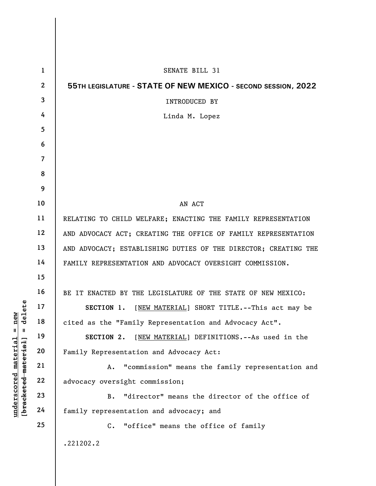|                                                                         | $\mathbf{1}$   | SENATE BILL 31                                                  |
|-------------------------------------------------------------------------|----------------|-----------------------------------------------------------------|
|                                                                         | $\mathbf{2}$   | 55TH LEGISLATURE - STATE OF NEW MEXICO - SECOND SESSION, 2022   |
|                                                                         | 3              | <b>INTRODUCED BY</b>                                            |
|                                                                         | 4              | Linda M. Lopez                                                  |
|                                                                         | 5              |                                                                 |
|                                                                         | 6              |                                                                 |
|                                                                         | $\overline{7}$ |                                                                 |
|                                                                         | 8              |                                                                 |
|                                                                         | 9              |                                                                 |
|                                                                         | 10             | AN ACT                                                          |
|                                                                         | 11             | RELATING TO CHILD WELFARE; ENACTING THE FAMILY REPRESENTATION   |
|                                                                         | 12             | AND ADVOCACY ACT; CREATING THE OFFICE OF FAMILY REPRESENTATION  |
|                                                                         | 13             | AND ADVOCACY; ESTABLISHING DUTIES OF THE DIRECTOR; CREATING THE |
|                                                                         | 14             | FAMILY REPRESENTATION AND ADVOCACY OVERSIGHT COMMISSION.        |
|                                                                         | 15             |                                                                 |
|                                                                         | 16             | BE IT ENACTED BY THE LEGISLATURE OF THE STATE OF NEW MEXICO:    |
| elete                                                                   | 17             | [NEW MATERIAL] SHORT TITLE.--This act may be<br>SECTION 1.      |
| $n$ ew                                                                  | 18             | cited as the "Family Representation and Advocacy Act".          |
| H<br>H                                                                  | 19             | [NEW MATERIAL] DEFINITIONS. -- As used in the<br>SECTION 2.     |
| $\mathtt{material}$                                                     | 20             | Family Representation and Advocacy Act:                         |
|                                                                         | 21             | "commission" means the family representation and<br>Α.          |
|                                                                         | 22             | advocacy oversight commission;                                  |
| [ <del>brack</del> ete <del>d material</del><br>$\bm{{\rm underscore}}$ | 23             | "director" means the director of the office of<br><b>B.</b>     |
|                                                                         | 24             | family representation and advocacy; and                         |
|                                                                         | 25             | "office" means the office of family<br>C.                       |
|                                                                         |                | .221202.2                                                       |

 $\overline{\phantom{a}}$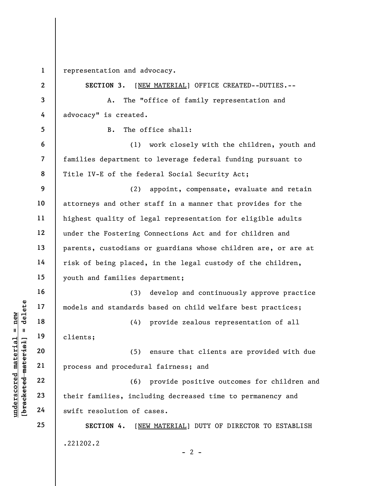1 representation and advocacy.

| $\mathbf{2}$   | SECTION 3.<br>[NEW MATERIAL] OFFICE CREATED--DUTIES.--         |
|----------------|----------------------------------------------------------------|
| 3              | The "office of family representation and<br>Α.                 |
| 4              | advocacy" is created.                                          |
| 5              | The office shall:<br>$B$ .                                     |
| 6              | (1)<br>work closely with the children, youth and               |
| $\overline{7}$ | families department to leverage federal funding pursuant to    |
| 8              | Title IV-E of the federal Social Security Act;                 |
| 9              | (2)<br>appoint, compensate, evaluate and retain                |
| 10             | attorneys and other staff in a manner that provides for the    |
| 11             | highest quality of legal representation for eligible adults    |
| 12             | under the Fostering Connections Act and for children and       |
| 13             | parents, custodians or guardians whose children are, or are at |
| 14             | risk of being placed, in the legal custody of the children,    |
| 15             | youth and families department;                                 |
| 16             | develop and continuously approve practice<br>(3)               |
| 17             | models and standards based on child welfare best practices;    |
| 18             | provide zealous representation of all<br>(4)                   |
| 19             | clients;                                                       |
| 20             | (5) ensure that clients are provided with due                  |
| 21             | process and procedural fairness; and                           |
| 22             | (6) provide positive outcomes for children and                 |
| 23             | their families, including decreased time to permanency and     |
| 24             | swift resolution of cases.                                     |
| 25             | SECTION 4.<br>[NEW MATERIAL] DUTY OF DIRECTOR TO ESTABLISH     |
|                | .221202.2<br>$-2-$                                             |

## $\frac{\text{undersecond material} = \text{new}}{\text{beac detected-material}}$  = delete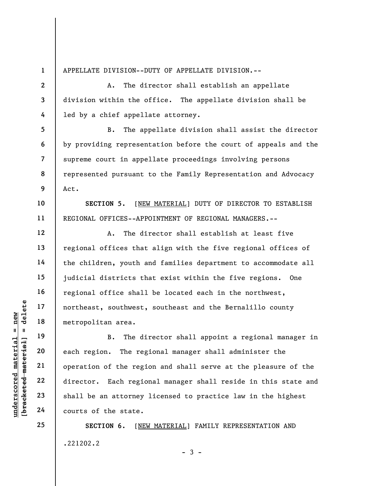1 2

3

4

5

6

7

8

9

10

11

12

13

14

15

16

17

18

19

20

21

22

23

24

25

APPELLATE DIVISION--DUTY OF APPELLATE DIVISION.--

A. The director shall establish an appellate division within the office. The appellate division shall be led by a chief appellate attorney.

B. The appellate division shall assist the director by providing representation before the court of appeals and the supreme court in appellate proceedings involving persons represented pursuant to the Family Representation and Advocacy Act.

SECTION 5. [NEW MATERIAL] DUTY OF DIRECTOR TO ESTABLISH REGIONAL OFFICES--APPOINTMENT OF REGIONAL MANAGERS.--

A. The director shall establish at least five regional offices that align with the five regional offices of the children, youth and families department to accommodate all judicial districts that exist within the five regions. One regional office shall be located each in the northwest, northeast, southwest, southeast and the Bernalillo county metropolitan area.

understand material material extra metropolitan area.<br>
The discussion of the region of the region of the region of the region of the region of the region of the region of the region of the state. B. The director shall appoint a regional manager in each region. The regional manager shall administer the operation of the region and shall serve at the pleasure of the director. Each regional manager shall reside in this state and shall be an attorney licensed to practice law in the highest courts of the state.

> SECTION 6. [NEW MATERIAL] FAMILY REPRESENTATION AND .221202.2

 $-3 -$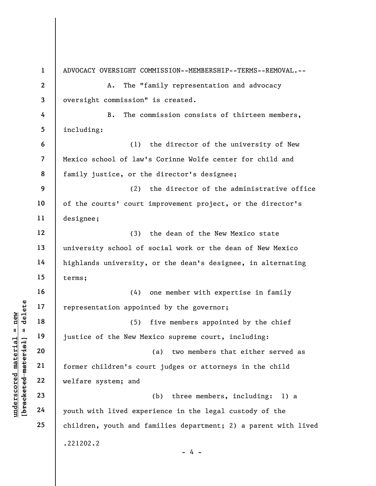under 17<br>
= 18<br>
= 18<br>
= 19<br>
= 19<br>
= 19<br>
= 19<br>
= 19<br>
= 19<br>
= 19<br>
= 19<br>
= 19<br>
= 19<br>
= 19<br>
= 19<br>
= 19<br>
= 19<br>
= 19<br>
= 19<br>
= 19<br>
= 19<br>
= 19<br>
= 19<br>
= 19<br>
= 19<br>
= 19<br>
= 19<br>
= 19<br>
= 19<br>
= 19<br>
= 19<br>
= 19<br>
= 19<br>
= 19<br>
= 19<br>
= 19<br>
= 1 2 3 4 5 6 7 8 9 10 11 12 13 14 15 16 17 18 19 20 21 22 23 24 25 ADVOCACY OVERSIGHT COMMISSION--MEMBERSHIP--TERMS--REMOVAL.-- A. The "family representation and advocacy oversight commission" is created. B. The commission consists of thirteen members, including: (1) the director of the university of New Mexico school of law's Corinne Wolfe center for child and family justice, or the director's designee; (2) the director of the administrative office of the courts' court improvement project, or the director's designee; (3) the dean of the New Mexico state university school of social work or the dean of New Mexico highlands university, or the dean's designee, in alternating terms; (4) one member with expertise in family representation appointed by the governor; (5) five members appointed by the chief justice of the New Mexico supreme court, including: (a) two members that either served as former children's court judges or attorneys in the child welfare system; and (b) three members, including: 1) a youth with lived experience in the legal custody of the children, youth and families department; 2) a parent with lived .221202.2 - 4 -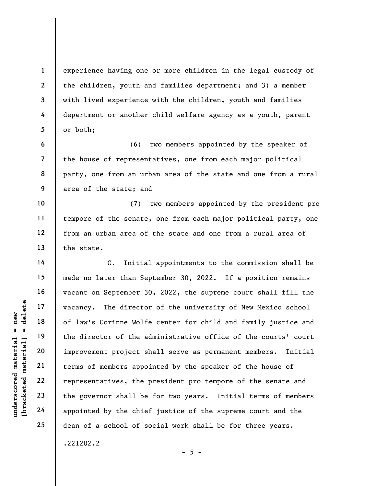experience having one or more children in the legal custody of the children, youth and families department; and 3) a member with lived experience with the children, youth and families department or another child welfare agency as a youth, parent or both;

6 7 8 9 (6) two members appointed by the speaker of the house of representatives, one from each major political party, one from an urban area of the state and one from a rural area of the state; and

10 11 12 13 (7) two members appointed by the president pro tempore of the senate, one from each major political party, one from an urban area of the state and one from a rural area of the state.

understand material material end of law's Corinne Wolf<br>
end 18<br>
understand material of law's Corinne Wolf<br>
the director of the a<br>
improvement project s<br>
end the director of the a<br>
improvement project s<br>
terms of members ap C. Initial appointments to the commission shall be made no later than September 30, 2022. If a position remains vacant on September 30, 2022, the supreme court shall fill the vacancy. The director of the university of New Mexico school of law's Corinne Wolfe center for child and family justice and the director of the administrative office of the courts' court improvement project shall serve as permanent members. Initial terms of members appointed by the speaker of the house of representatives, the president pro tempore of the senate and the governor shall be for two years. Initial terms of members appointed by the chief justice of the supreme court and the dean of a school of social work shall be for three years.

.221202.2

1

2

3

4

5

14

15

16

17

18

19

20

21

22

23

24

25

 $- 5 -$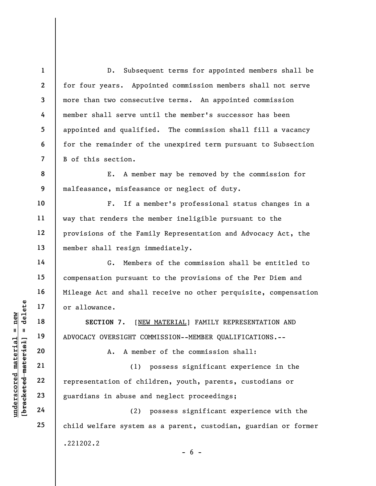1 2 3 4 5 6 7 8 9 10 11 12 13 14 15 16 17 18 D. Subsequent terms for appointed members shall be for four years. Appointed commission members shall not serve more than two consecutive terms. An appointed commission member shall serve until the member's successor has been appointed and qualified. The commission shall fill a vacancy for the remainder of the unexpired term pursuant to Subsection B of this section. E. A member may be removed by the commission for malfeasance, misfeasance or neglect of duty. F. If a member's professional status changes in a way that renders the member ineligible pursuant to the provisions of the Family Representation and Advocacy Act, the member shall resign immediately. G. Members of the commission shall be entitled to compensation pursuant to the provisions of the Per Diem and Mileage Act and shall receive no other perquisite, compensation or allowance. SECTION 7. [NEW MATERIAL] FAMILY REPRESENTATION AND

ADVOCACY OVERSIGHT COMMISSION--MEMBER QUALIFICATIONS.--

A. A member of the commission shall:

UNDERECTION 7. [NET OF ALLOWANCE.<br>
19 18 SECTION 7. [NET OF ADVOCACY OVERSIGHT CONTRIGHT CONTRIGHT CONTRIGHT CONTRIGHT CONTRIGHT CONTRIGHT CONTRIGHT CONTRIGHT CONTRIGHT CONTRIGHT CONTRIGHT CONTRIGHT CONTRIGHT CONTRIGHT CON (1) possess significant experience in the representation of children, youth, parents, custodians or guardians in abuse and neglect proceedings;

(2) possess significant experience with the child welfare system as a parent, custodian, guardian or former .221202.2  $- 6 -$ 

22 23 24

25

19

20

21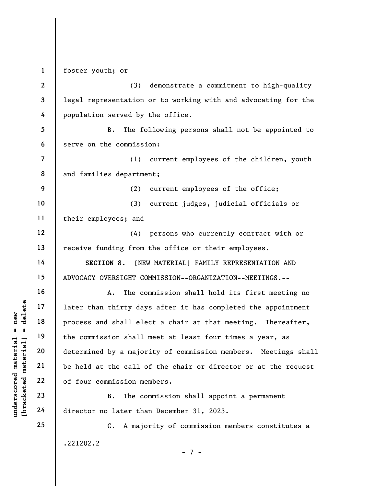1 foster youth; or

2 3 4 (3) demonstrate a commitment to high-quality legal representation or to working with and advocating for the population served by the office.

5 6 B. The following persons shall not be appointed to serve on the commission:

7 8 (1) current employees of the children, youth and families department;

(2) current employees of the office;

10 11 (3) current judges, judicial officials or their employees; and

12 13 (4) persons who currently contract with or receive funding from the office or their employees.

SECTION 8. [NEW MATERIAL] FAMILY REPRESENTATION AND ADVOCACY OVERSIGHT COMMISSION--ORGANIZATION--MEETINGS.--

underscored material = new [bracketed material] = delete A. The commission shall hold its first meeting no later than thirty days after it has completed the appointment process and shall elect a chair at that meeting. Thereafter, the commission shall meet at least four times a year, as determined by a majority of commission members. Meetings shall be held at the call of the chair or director or at the request of four commission members.

B. The commission shall appoint a permanent director no later than December 31, 2023.

C. A majority of commission members constitutes a .221202.2

- 7 -

9

14

15

16

17

18

19

20

21

22

23

24

25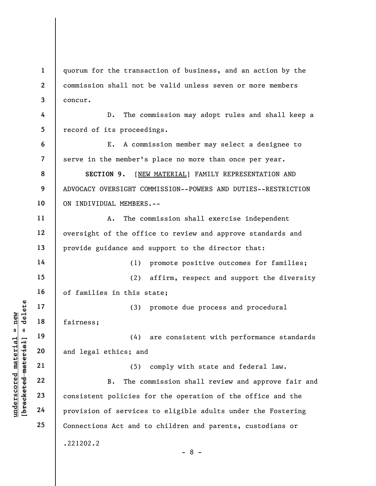1 2 3 4 5 6 7 8 9 10 quorum for the transaction of business, and an action by the commission shall not be valid unless seven or more members concur. D. The commission may adopt rules and shall keep a record of its proceedings. E. A commission member may select a designee to serve in the member's place no more than once per year. SECTION 9. [NEW MATERIAL] FAMILY REPRESENTATION AND ADVOCACY OVERSIGHT COMMISSION--POWERS AND DUTIES--RESTRICTION ON INDIVIDUAL MEMBERS.--

A. The commission shall exercise independent oversight of the office to review and approve standards and provide guidance and support to the director that:

(1) promote positive outcomes for families; (2) affirm, respect and support the diversity

of families in this state;

(3) promote due process and procedural fairness;

(4) are consistent with performance standards and legal ethics; and

underscored material = new [bracketed material] = delete (5) comply with state and federal law. B. The commission shall review and approve fair and consistent policies for the operation of the office and the provision of services to eligible adults under the Fostering Connections Act and to children and parents, custodians or .221202.2 - 8 -

11

12

13

14

15

16

17

18

19

20

21

22

23

24

25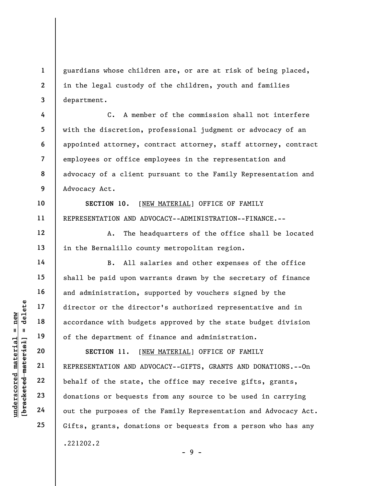guardians whose children are, or are at risk of being placed, in the legal custody of the children, youth and families department.

7 8 9 C. A member of the commission shall not interfere with the discretion, professional judgment or advocacy of an appointed attorney, contract attorney, staff attorney, contract employees or office employees in the representation and advocacy of a client pursuant to the Family Representation and Advocacy Act.

SECTION 10. [NEW MATERIAL] OFFICE OF FAMILY REPRESENTATION AND ADVOCACY--ADMINISTRATION--FINANCE.--

A. The headquarters of the office shall be located in the Bernalillo county metropolitan region.

B. All salaries and other expenses of the office shall be paid upon warrants drawn by the secretary of finance and administration, supported by vouchers signed by the director or the director's authorized representative and in accordance with budgets approved by the state budget division of the department of finance and administration.

underscored material = new [bracketed material] = delete SECTION 11. [NEW MATERIAL] OFFICE OF FAMILY REPRESENTATION AND ADVOCACY--GIFTS, GRANTS AND DONATIONS.--On behalf of the state, the office may receive gifts, grants, donations or bequests from any source to be used in carrying out the purposes of the Family Representation and Advocacy Act. Gifts, grants, donations or bequests from a person who has any .221202.2

1

2

3

4

5

6

10

11

12

13

14

15

16

17

18

19

20

21

22

23

24

25

- 9 -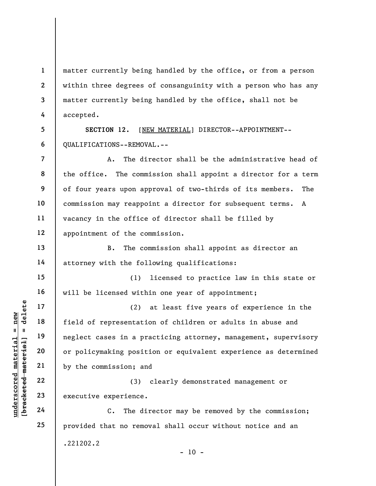1 2 3 4 matter currently being handled by the office, or from a person within three degrees of consanguinity with a person who has any matter currently being handled by the office, shall not be accepted.

5 6 SECTION 12. [NEW MATERIAL] DIRECTOR--APPOINTMENT-- QUALIFICATIONS--REMOVAL.--

8 A. The director shall be the administrative head of the office. The commission shall appoint a director for a term of four years upon approval of two-thirds of its members. The commission may reappoint a director for subsequent terms. A vacancy in the office of director shall be filled by appointment of the commission.

B. The commission shall appoint as director an attorney with the following qualifications:

(1) licensed to practice law in this state or will be licensed within one year of appointment;

understand material material of the sense of the commission; and the commission; and the commission; and the commission; and the commission; and the commission; and the commission; and the commission; and the commission; a (2) at least five years of experience in the field of representation of children or adults in abuse and neglect cases in a practicing attorney, management, supervisory or policymaking position or equivalent experience as determined by the commission; and

(3) clearly demonstrated management or executive experience.

C. The director may be removed by the commission; provided that no removal shall occur without notice and an .221202.2

7

9

10

11

12

13

14

15

16

17

18

19

20

21

22

23

24

25

 $- 10 -$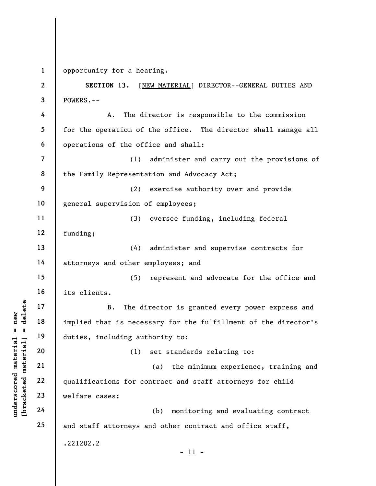1 opportunity for a hearing.

understand material material implied that is necessed in the distribution of the distribution of the distribution of the distribution of the distribution of the distribution of the distribution of the distribution of the d 2 3 4 5 6 7 8 9 10 11 12 13 14 15 16 17 18 19 20 21 22 23 24 25 SECTION 13. [NEW MATERIAL] DIRECTOR--GENERAL DUTIES AND POWERS.-- A. The director is responsible to the commission for the operation of the office. The director shall manage all operations of the office and shall: (1) administer and carry out the provisions of the Family Representation and Advocacy Act; (2) exercise authority over and provide general supervision of employees; (3) oversee funding, including federal funding; (4) administer and supervise contracts for attorneys and other employees; and (5) represent and advocate for the office and its clients. B. The director is granted every power express and implied that is necessary for the fulfillment of the director's duties, including authority to: (1) set standards relating to: (a) the minimum experience, training and qualifications for contract and staff attorneys for child welfare cases; (b) monitoring and evaluating contract and staff attorneys and other contract and office staff, .221202.2 - 11 -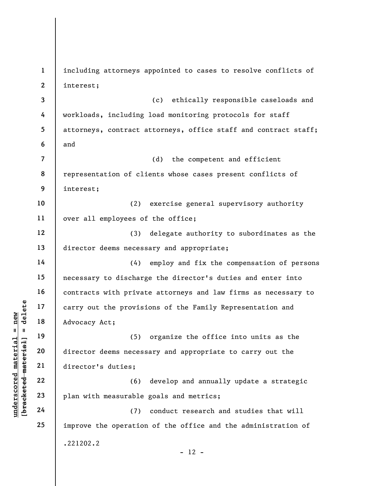understand material material and the provision of the provision of the provision of the provision of the provision of the provision of the provision of the provision of the provision of the provision of the provision of th 1 2 3 4 5 6 7 8 9 10 11 12 13 14 15 16 17 18 19 20 21 22 23 24 25 including attorneys appointed to cases to resolve conflicts of interest; (c) ethically responsible caseloads and workloads, including load monitoring protocols for staff attorneys, contract attorneys, office staff and contract staff; and (d) the competent and efficient representation of clients whose cases present conflicts of interest; (2) exercise general supervisory authority over all employees of the office; (3) delegate authority to subordinates as the director deems necessary and appropriate; (4) employ and fix the compensation of persons necessary to discharge the director's duties and enter into contracts with private attorneys and law firms as necessary to carry out the provisions of the Family Representation and Advocacy Act; (5) organize the office into units as the director deems necessary and appropriate to carry out the director's duties; (6) develop and annually update a strategic plan with measurable goals and metrics; (7) conduct research and studies that will improve the operation of the office and the administration of .221202.2  $- 12 -$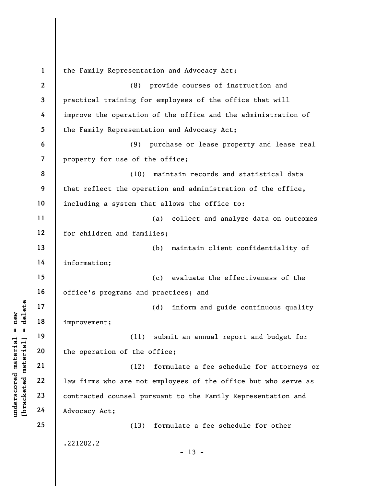understand material material improvement;<br>  $\begin{array}{c|c}\n\text{a} & \text{b} & \text{c} \\
\text{c} & \text{d} & \text{d} & \text{d} \\
\text{d} & \text{e} & \text{f} & \text{f} \\
\text{e} & \text{f} & \text{g} & \text{g} \\
\text{f} & \text{g} & \text{h} & \text{g} \\
\text{g} & \text{h} & \text{h} & \text{h} \\
\text{h} & \text{h} & \text{h} & \text{h} \\
\text{h} &$ 1 2 3 4 5 6 7 8 9 10 11 12 13 14 15 16 17 18 19 20 21 22 23 24 25 the Family Representation and Advocacy Act; (8) provide courses of instruction and practical training for employees of the office that will improve the operation of the office and the administration of the Family Representation and Advocacy Act; (9) purchase or lease property and lease real property for use of the office; (10) maintain records and statistical data that reflect the operation and administration of the office, including a system that allows the office to: (a) collect and analyze data on outcomes for children and families; (b) maintain client confidentiality of information; (c) evaluate the effectiveness of the office's programs and practices; and (d) inform and guide continuous quality improvement; (11) submit an annual report and budget for the operation of the office; (12) formulate a fee schedule for attorneys or law firms who are not employees of the office but who serve as contracted counsel pursuant to the Family Representation and Advocacy Act; (13) formulate a fee schedule for other .221202.2  $- 13 -$